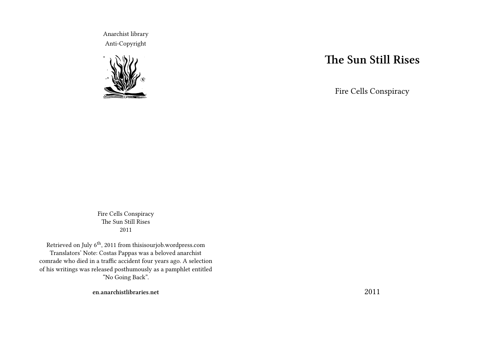Anarchist library Anti-Copyright



# **The Sun Still Rises**

Fire Cells Conspiracy

Fire Cells Conspiracy The Sun Still Rises 2011

Retrieved on July  $6^{\rm th},$  2011 from this<br>isourjob.wordpress.com Translators' Note: Costas Pappas was a beloved anarchist comrade who died in a traffic accident four years ago. A selection of his writings was released posthumously as a pamphlet entitled "No Going Back".

**en.anarchistlibraries.net**

2011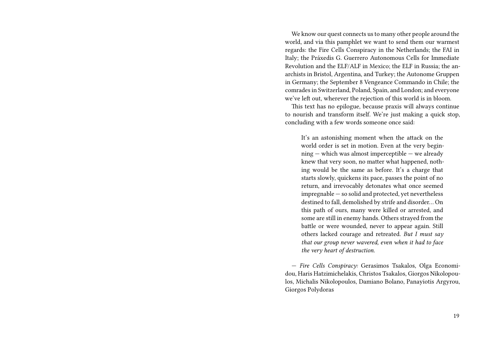We know our quest connects us to many other people around the world, and via this pamphlet we want to send them our warmest regards: the Fire Cells Conspiracy in the Netherlands; the FAI in Italy; the Práxedis G. Guerrero Autonomous Cells for Immediate Revolution and the ELF/ALF in Mexico; the ELF in Russia; the anarchists in Bristol, Argentina, and Turkey; the Autonome Gruppen in Germany; the September 8 Vengeance Commando in Chile; the comrades in Switzerland, Poland, Spain, and London; and everyone we've left out, wherever the rejection of this world is in bloom.

This text has no epilogue, because praxis will always continue to nourish and transform itself. We're just making a quick stop, concluding with a few words someone once said:

It's an astonishing moment when the attack on the world order is set in motion. Even at the very beginning — which was almost imperceptible — we already knew that very soon, no matter what happened, nothing would be the same as before. It's a charge that starts slowly, quickens its pace, passes the point of no return, and irrevocably detonates what once seemed impregnable — so solid and protected, yet nevertheless destined to fall, demolished by strife and disorder… On this path of ours, many were killed or arrested, and some are still in enemy hands. Others strayed from the battle or were wounded, never to appear again. Still others lacked courage and retreated. *But I must say that our group never wavered, even when it had to face the very heart of destruction.*

— *Fire Cells Conspiracy:* Gerasimos Tsakalos, Olga Economidou, Haris Hatzimichelakis, Christos Tsakalos, Giorgos Nikolopoulos, Michalis Nikolopoulos, Damiano Bolano, Panayiotis Argyrou, Giorgos Polydoras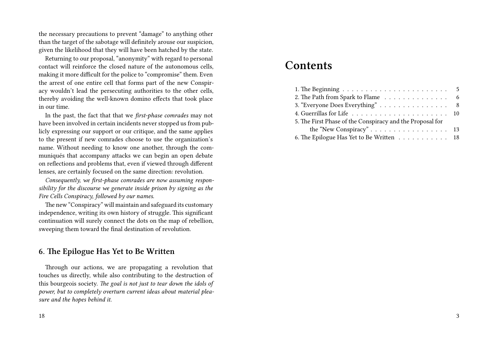the necessary precautions to prevent "damage" to anything other than the target of the sabotage will definitely arouse our suspicion, given the likelihood that they will have been hatched by the state.

Returning to our proposal, "anonymity" with regard to personal contact will reinforce the closed nature of the autonomous cells, making it more difficult for the police to "compromise" them. Even the arrest of one entire cell that forms part of the new Conspiracy wouldn't lead the persecuting authorities to the other cells, thereby avoiding the well-known domino effects that took place in our time.

In the past, the fact that that we *first-phase comrades* may not have been involved in certain incidents never stopped us from publicly expressing our support or our critique, and the same applies to the present if new comrades choose to use the organization's name. Without needing to know one another, through the communiqués that accompany attacks we can begin an open debate on reflections and problems that, even if viewed through different lenses, are certainly focused on the same direction: revolution.

*Consequently, we first-phase comrades are now assuming responsibility for the discourse we generate inside prison by signing as the Fire Cells Conspiracy, followed by our names.*

The new "Conspiracy" will maintain and safeguard its customary independence, writing its own history of struggle. This significant continuation will surely connect the dots on the map of rebellion, sweeping them toward the final destination of revolution.

#### **6. The Epilogue Has Yet to Be Written**

Through our actions, we are propagating a revolution that touches us directly, while also contributing to the destruction of this bourgeois society. *The goal is not just to tear down the idols of power, but to completely overturn current ideas about material pleasure and the hopes behind it.*

# **Contents**

| 2. The Path from Spark to Flame 6                         |  |
|-----------------------------------------------------------|--|
| 3. "Everyone Does Everything" 8                           |  |
|                                                           |  |
| 5. The First Phase of the Conspiracy and the Proposal for |  |
|                                                           |  |
| 6. The Epilogue Has Yet to Be Written 18                  |  |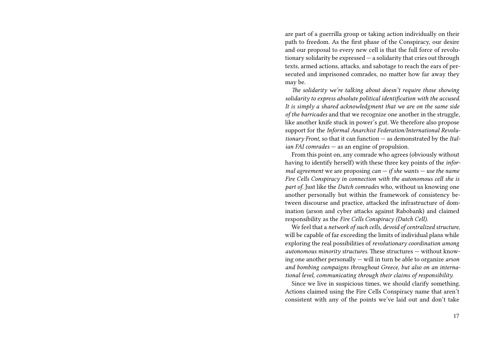are part of a guerrilla group or taking action individually on their path to freedom. As the first phase of the Conspiracy, our desire and our proposal to every new cell is that the full force of revolutionary solidarity be expressed — a solidarity that cries out through texts, armed actions, attacks, and sabotage to reach the ears of persecuted and imprisoned comrades, no matter how far away they may be.

*The solidarity we're talking about doesn't require those showing solidarity to express absolute political identification with the accused. It is simply a shared acknowledgment that we are on the same side of the barricades* and that we recognize one another in the struggle, like another knife stuck in power's gut. We therefore also propose support for the *Informal Anarchist Federation/International Revolutionary Front,* so that it can function — as demonstrated by the *Italian FAI comrades* — as an engine of propulsion.

From this point on, any comrade who agrees (obviously without having to identify herself) with these three key points of the *informal agreement* we are proposing *can — if she wants — use the name Fire Cells Conspiracy in connection with the autonomous cell she is part of.* Just like the *Dutch comrades* who, without us knowing one another personally but within the framework of consistency between discourse and practice, attacked the infrastructure of domination (arson and cyber attacks against Rabobank) and claimed responsibility as the *Fire Cells Conspiracy (Dutch Cell).*

We feel that a *network of such cells, devoid of centralized structure,* will be capable of far exceeding the limits of individual plans while exploring the real possibilities of *revolutionary coordination among autonomous minority structures.* These structures — without knowing one another personally — will in turn be able to organize *arson and bombing campaigns throughout Greece, but also on an international level, communicating through their claims of responsibility.*

Since we live in suspicious times, we should clarify something. Actions claimed using the Fire Cells Conspiracy name that aren't consistent with any of the points we've laid out and don't take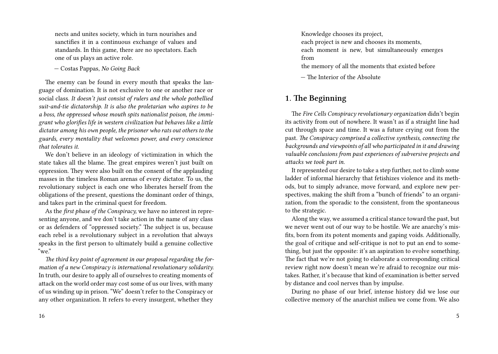nects and unites society, which in turn nourishes and sanctifies it in a continuous exchange of values and standards. In this game, there are no spectators. Each one of us plays an active role.

— Costas Pappas, *No Going Back*

The enemy can be found in every mouth that speaks the language of domination. It is not exclusive to one or another race or social class. *It doesn't just consist of rulers and the whole potbellied suit-and-tie dictatorship. It is also the proletarian who aspires to be a boss, the oppressed whose mouth spits nationalist poison, the immigrant who glorifies life in western civilization but behaves like a little dictator among his own people, the prisoner who rats out others to the guards, every mentality that welcomes power, and every conscience that tolerates it.*

We don't believe in an ideology of victimization in which the state takes all the blame. The great empires weren't just built on oppression. They were also built on the consent of the applauding masses in the timeless Roman arenas of every dictator. To us, the revolutionary subject is each one who liberates herself from the obligations of the present, questions the dominant order of things, and takes part in the criminal quest for freedom.

As the *first phase of the Conspiracy,* we have no interest in representing anyone, and we don't take action in the name of any class or as defenders of "oppressed society." The subject is us, because each rebel is a revolutionary subject in a revolution that always speaks in the first person to ultimately build a genuine collective "we."

*The third key point of agreement in our proposal regarding the formation of a new Conspiracy is international revolutionary solidarity.* In truth, our desire to apply all of ourselves to creating moments of attack on the world order may cost some of us our lives, with many of us winding up in prison. "We" doesn't refer to the Conspiracy or any other organization. It refers to every insurgent, whether they Knowledge chooses its project, each project is new and chooses its moments, each moment is new, but simultaneously emerges from

the memory of all the moments that existed before

— The Interior of the Absolute

# **1. The Beginning**

The *Fire Cells Conspiracy revolutionary organization* didn't begin its activity from out of nowhere. It wasn't as if a straight line had cut through space and time. It was a future crying out from the past. *The Conspiracy comprised a collective synthesis, connecting the backgrounds and viewpoints of all who participated in it and drawing valuable conclusions from past experiences of subversive projects and attacks we took part in.*

It represented our desire to take a step further, not to climb some ladder of informal hierarchy that fetishizes violence and its methods, but to simply advance, move forward, and explore new perspectives, making the shift from a "bunch of friends" to an organization, from the sporadic to the consistent, from the spontaneous to the strategic.

Along the way, we assumed a critical stance toward the past, but we never went out of our way to be hostile. We are anarchy's misfits, born from its potent moments and gaping voids. Additionally, the goal of critique and self-critique is not to put an end to something, but just the opposite: it's an aspiration to evolve something. The fact that we're not going to elaborate a corresponding critical review right now doesn't mean we're afraid to recognize our mistakes. Rather, it's because that kind of examination is better served by distance and cool nerves than by impulse.

During no phase of our brief, intense history did we lose our collective memory of the anarchist milieu we come from. We also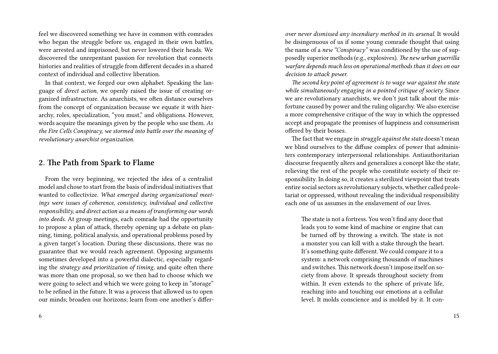feel we discovered something we have in common with comrades who began the struggle before us, engaged in their own battles, were arrested and imprisoned, but never lowered their heads. We discovered the unrepentant passion for revolution that connects histories and realities of struggle from different decades in a shared context of individual and collective liberation.

In that context, we forged our own alphabet. Speaking the language of *direct action*, we openly raised the issue of creating organized infrastructure. As anarchists, we often distance ourselves from the concept of organization because we equate it with hierarchy, roles, specialization, "you must," and obligations. However, words acquire the meanings given by the people who use them. *As the Fire Cells Conspiracy, we stormed into battle over the meaning of revolutionary anarchist organization.*

#### **2. The Path from Spark to Flame**

From the very beginning, we rejected the idea of a centralist model and chose to start from the basis of individual initiatives that wanted to collectivize. *What emerged during organizational meetings were issues of coherence, consistency, individual and collective responsibility, and direct action as a means of transforming our words into deeds.* At group meetings, each comrade had the opportunity to propose a plan of attack, thereby opening up a debate on planning, timing, political analysis, and operational problems posed by a given target's location. During these discussions, there was no guarantee that we would reach agreement. Opposing arguments sometimes developed into a powerful dialectic, especially regarding the *strategy and prioritization of timing,* and quite often there was more than one proposal, so we then had to choose which we were going to select and which we were going to keep in "storage" to be refined in the future. It was a process that allowed us to open our minds; broaden our horizons; learn from one another's differ-

*over never dismissed any incendiary method in its arsenal.* It would be disingenuous of us if some young comrade thought that using the name of a *new "Conspiracy"* was conditioned by the use of supposedly superior methods (e.g., explosives). *The new urban guerrilla warfare depends much less on operational methods than it does on our decision to attack power.*

*The second key point of agreement is to wage war against the state while simultaneously engaging in a pointed critique of society.* Since we are revolutionary anarchists, we don't just talk about the misfortune caused by power and the ruling oligarchy. We also exercise a more comprehensive critique of the way in which the oppressed accept and propagate the promises of happiness and consumerism offered by their bosses.

The fact that we engage in *struggle against the state* doesn't mean we blind ourselves to the diffuse complex of power that administers contemporary interpersonal relationships. Antiauthoritarian discourse frequently alters and generalizes a concept like the state, relieving the rest of the people who constitute society of their responsibility. In doing so, it creates a sterilized viewpoint that treats entire social sectors as revolutionary subjects, whether called proletariat or oppressed, without revealing the individual responsibility each one of us assumes in the enslavement of our lives.

The state is not a fortress. You won't find any door that leads you to some kind of machine or engine that can be turned off by throwing a switch. The state is not a monster you can kill with a stake through the heart. It's something quite different. We could compare it to a system: a network comprising thousands of machines and switches. This network doesn't impose itself on society from above. It spreads throughout society from within. It even extends to the sphere of private life, reaching into and touching our emotions at a cellular level. It molds conscience and is molded by it. It con-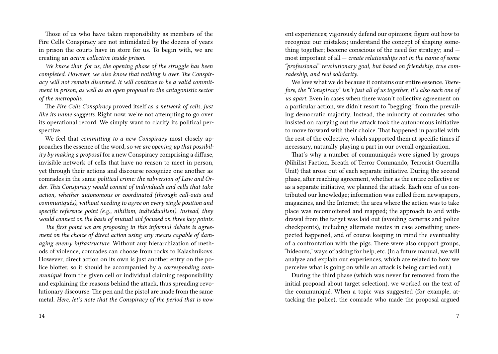Those of us who have taken responsibility as members of the Fire Cells Conspiracy are not intimidated by the dozens of years in prison the courts have in store for us. To begin with, we are creating an *active collective inside prison.*

*We know that, for us, the opening phase of the struggle has been completed. However, we also know that nothing is over. The Conspiracy will not remain disarmed. It will continue to be a valid commitment in prison, as well as an open proposal to the antagonistic sector of the metropolis.*

The *Fire Cells Conspiracy* proved itself as *a network of cells, just like its name suggests.* Right now, we're not attempting to go over its operational record. We simply want to clarify its political perspective.

We feel that *committing to a new Conspiracy* most closely approaches the essence of the word, so *we are opening up that possibility by making a proposal* for a new Conspiracy comprising a diffuse, invisible network of cells that have no reason to meet in person, yet through their actions and discourse recognize one another as comrades in the same *political crime: the subversion of Law and Order. This Conspiracy would consist of individuals and cells that take action, whether autonomous or coordinated (through call-outs and communiqués), without needing to agree on every single position and specific reference point (e.g., nihilism, individualism). Instead, they would connect on the basis of mutual aid focused on three key points.*

*The first point we are proposing in this informal debate is agreement on the choice of direct action using any means capable of damaging enemy infrastructure.* Without any hierarchization of methods of violence, comrades can choose from rocks to Kalashnikovs. However, direct action on its own is just another entry on the police blotter, so it should be accompanied by a *corresponding communiqué* from the given cell or individual claiming responsibility and explaining the reasons behind the attack, thus spreading revolutionary discourse. The pen and the pistol are made from the same metal. *Here, let's note that the Conspiracy of the period that is now*

14

ent experiences; vigorously defend our opinions; figure out how to recognize our mistakes; understand the concept of shaping something together; become conscious of the need for strategy; and  $$ most important of all — *create relationships not in the name of some "professional" revolutionary goal, but based on friendship, true comradeship, and real solidarity.*

We love what we do because it contains our entire essence. *Therefore, the "Conspiracy" isn't just all of us together, it's also each one of us apart.* Even in cases when there wasn't collective agreement on a particular action, we didn't resort to "begging" from the prevailing democratic majority. Instead, the minority of comrades who insisted on carrying out the attack took the autonomous initiative to move forward with their choice. That happened in parallel with the rest of the collective, which supported them at specific times if necessary, naturally playing a part in our overall organization.

That's why a number of communiqués were signed by groups (Nihilist Faction, Breath of Terror Commando, Terrorist Guerrilla Unit) that arose out of each separate initiative. During the second phase, after reaching agreement, whether as the entire collective or as a separate initiative, we planned the attack. Each one of us contributed our knowledge; information was culled from newspapers, magazines, and the Internet; the area where the action was to take place was reconnoitered and mapped; the approach to and withdrawal from the target was laid out (avoiding cameras and police checkpoints), including alternate routes in case something unexpected happened, and of course keeping in mind the eventuality of a confrontation with the pigs. There were also support groups, "hideouts," ways of asking for help, etc. (In a future manual, we will analyze and explain our experiences, which are related to how we perceive what is going on while an attack is being carried out.)

During the third phase (which was never far removed from the initial proposal about target selection), we worked on the text of the communiqué. When a topic was suggested (for example, attacking the police), the comrade who made the proposal argued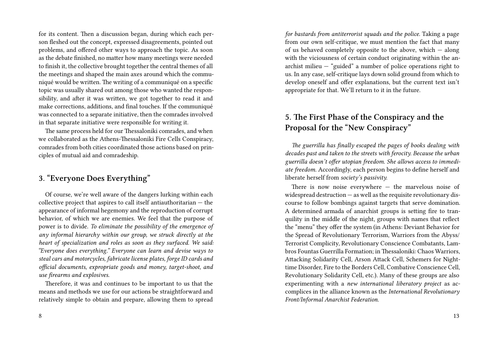for its content. Then a discussion began, during which each person fleshed out the concept, expressed disagreements, pointed out problems, and offered other ways to approach the topic. As soon as the debate finished, no matter how many meetings were needed to finish it, the collective brought together the central themes of all the meetings and shaped the main axes around which the communiqué would be written. The writing of a communiqué on a specific topic was usually shared out among those who wanted the responsibility, and after it was written, we got together to read it and make corrections, additions, and final touches. If the communiqué was connected to a separate initiative, then the comrades involved in that separate initiative were responsible for writing it.

The same process held for our Thessaloniki comrades, and when we collaborated as the Athens-Thessaloniki Fire Cells Conspiracy, comrades from both cities coordinated those actions based on principles of mutual aid and comradeship.

### **3. "Everyone Does Everything"**

Of course, we're well aware of the dangers lurking within each collective project that aspires to call itself antiauthoritarian — the appearance of informal hegemony and the reproduction of corrupt behavior, of which we are enemies. We feel that the purpose of power is to divide. *To eliminate the possibility of the emergence of any informal hierarchy within our group, we struck directly at the heart of specialization and roles as soon as they surfaced. We said: "Everyone does everything." Everyone can learn and devise ways to steal cars and motorcycles, fabricate license plates, forge ID cards and official documents, expropriate goods and money, target-shoot, and use firearms and explosives.*

Therefore, it was and continues to be important to us that the means and methods we use for our actions be straightforward and relatively simple to obtain and prepare, allowing them to spread

*for bastards from antiterrorist squads and the police.* Taking a page from our own self-critique, we must mention the fact that many of us behaved completely opposite to the above, which — along with the viciousness of certain conduct originating within the anarchist milieu — "guided" a number of police operations right to us. In any case, self-critique lays down solid ground from which to develop oneself and offer explanations, but the current text isn't appropriate for that. We'll return to it in the future.

# **5. The First Phase of the Conspiracy and the Proposal for the "New Conspiracy"**

*The guerrilla has finally escaped the pages of books dealing with decades past and taken to the streets with ferocity. Because the urban guerrilla doesn't offer utopian freedom. She allows access to immediate freedom.* Accordingly, each person begins to define herself and liberate herself from *society's passivity.*

There is now noise everywhere — the marvelous noise of widespread destruction  $-$  as well as the requisite revolutionary discourse to follow bombings against targets that serve domination. A determined armada of anarchist groups is setting fire to tranquility in the middle of the night, groups with names that reflect the "menu" they offer the system (in Athens: Deviant Behavior for the Spread of Revolutionary Terrorism, Warriors from the Abyss/ Terrorist Complicity, Revolutionary Conscience Combatants, Lambros Fountas Guerrilla Formation; in Thessaloniki: Chaos Warriors, Attacking Solidarity Cell, Arson Attack Cell, Schemers for Nighttime Disorder, Fire to the Borders Cell, Combative Conscience Cell, Revolutionary Solidarity Cell, etc.). Many of these groups are also experimenting with a *new international liberatory project* as accomplices in the alliance known as the *International Revolutionary Front/Informal Anarchist Federation.*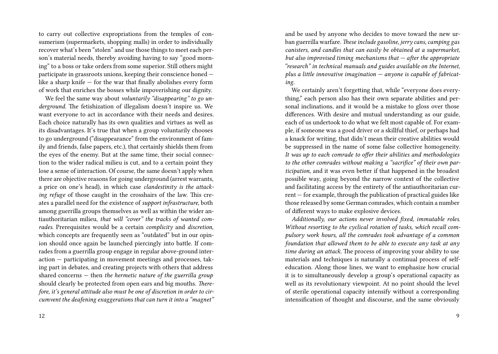to carry out collective expropriations from the temples of consumerism (supermarkets, shopping malls) in order to individually recover what's been "stolen" and use those things to meet each person's material needs, thereby avoiding having to say "good morning" to a boss or take orders from some superior. Still others might participate in grassroots unions, keeping their conscience honed like a sharp knife — for the war that finally abolishes every form of work that enriches the bosses while impoverishing our dignity.

We feel the same way about *voluntarily "disappearing" to go underground.* The fetishization of illegalism doesn't inspire us. We want everyone to act in accordance with their needs and desires. Each choice naturally has its own qualities and virtues as well as its disadvantages. It's true that when a group voluntarily chooses to go underground ("disappearance" from the environment of family and friends, false papers, etc.), that certainly shields them from the eyes of the enemy. But at the same time, their social connection to the wider radical milieu is cut, and to a certain point they lose a sense of interaction. Of course, the same doesn't apply when there are objective reasons for going underground (arrest warrants, a price on one's head), in which case *clandestinity is the attacking refuge* of those caught in the crosshairs of the law. This creates a parallel need for the existence of *support infrastructure,* both among guerrilla groups themselves as well as within the wider antiauthoritarian milieu, *that will "cover" the tracks of wanted comrades.* Prerequisites would be a certain *complicity* and *discretion,* which concepts are frequently seen as "outdated" but in our opinion should once again be launched piercingly into battle. If comrades from a guerrilla group engage in regular above-ground interaction — participating in movement meetings and processes, taking part in debates, and creating projects with others that address shared concerns — then *the hermetic nature of the guerrilla group* should clearly be protected from open ears and big mouths. *Therefore, it's general attitude also must be one of discretion in order to circumvent the deafening exaggerations that can turn it into a "magnet"*

and be used by anyone who decides to move toward the new urban guerrilla warfare. *These include gasoline, jerry cans, camping gas canisters, and candles that can easily be obtained at a supermarket, but also improvised timing mechanisms that — after the appropriate "research" in technical manuals and guides available on the Internet, plus a little innovative imagination — anyone is capable of fabricating.*

We certainly aren't forgetting that, while "everyone does everything," each person also has their own separate abilities and personal inclinations, and it would be a mistake to gloss over those differences. With desire and mutual understanding as our guide, each of us undertook to do what we felt most capable of. For example, if someone was a good driver or a skillful thief, or perhaps had a knack for writing, that didn't mean their creative abilities would be suppressed in the name of some false collective homogeneity. *It was up to each comrade to offer their abilities and methodologies to the other comrades without making a "sacrifice" of their own participation,* and it was even better if that happened in the broadest possible way, going beyond the narrow context of the collective and facilitating access by the entirety of the antiauthoritarian current — for example, through the publication of practical guides like those released by some German comrades, which contain a number of different ways to make explosive devices.

*Additionally, our actions never involved fixed, immutable roles. Without resorting to the cyclical rotation of tasks, which recall compulsory work hours, all the comrades took advantage of a common foundation that allowed them to be able to execute any task at any time during an attack.* The process of improving your ability to use materials and techniques is naturally a continual process of selfeducation. Along those lines, we want to emphasize how crucial it is to simultaneously develop a group's operational capacity as well as its revolutionary viewpoint. At no point should the level of sterile operational capacity intensify without a corresponding intensification of thought and discourse, and the same obviously